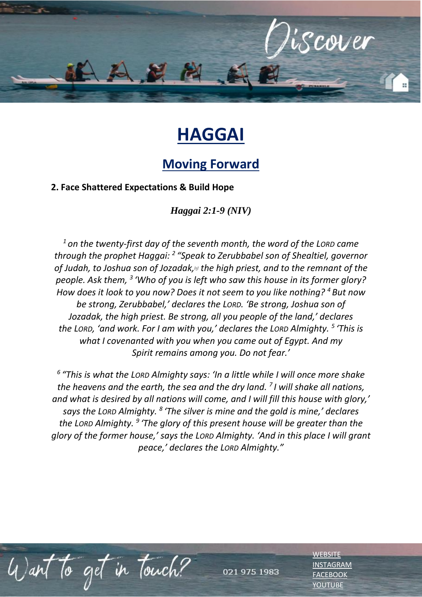

## **HAGGAI**

## **Moving Forward**

**2. Face Shattered Expectations & Build Hope**

*Haggai 2:1-9 (NIV)* 

*<sup>1</sup> on the twenty-first day of the seventh month, the word of the LORD came through the prophet Haggai: <sup>2</sup> "Speak to Zerubbabel son of Shealtiel, governor of Judah, to Joshua son of Jozadak,[\[a\]](https://www.biblegateway.com/passage/?search=Haggai%202%3A1-9&version=NIV#fen-NIV-22858a) the high priest, and to the remnant of the people. Ask them, <sup>3</sup> 'Who of you is left who saw this house in its former glory? How does it look to you now? Does it not seem to you like nothing? <sup>4</sup> But now be strong, Zerubbabel,' declares the LORD. 'Be strong, Joshua son of Jozadak, the high priest. Be strong, all you people of the land,' declares the LORD, 'and work. For I am with you,' declares the LORD Almighty. <sup>5</sup> 'This is what I covenanted with you when you came out of Egypt. And my Spirit remains among you. Do not fear.'*

*6 "This is what the LORD Almighty says: 'In a little while I will once more shake the heavens and the earth, the sea and the dry land. <sup>7</sup> I will shake all nations, and what is desired by all nations will come, and I will fill this house with glory,' says the LORD Almighty. <sup>8</sup> 'The silver is mine and the gold is mine,' declares the LORD Almighty. <sup>9</sup> 'The glory of this present house will be greater than the glory of the former house,' says the LORD Almighty. 'And in this place I will grant peace,' declares the LORD Almighty."*

to get in touch?

021 975 1983

**[WEBSITE](http://www.escc.co.za/)** [INSTAGRAM](https://www.instagram.com/esccdurbanville/) [FACEBOOK](https://www.facebook.com/escc.za) **[YOUTUBE](https://www.youtube.com/c/ESCCDurbanvilleV)**